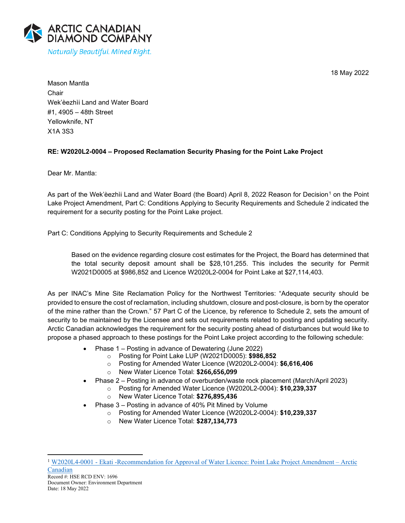18 May 2022



Mason Mantla Chair Wek'èezhìi Land and Water Board #1, 4905 – 48th Street Yellowknife, NT X1A 3S3

# **RE: W2020L2-0004 – Proposed Reclamation Security Phasing for the Point Lake Project**

Dear Mr. Mantla:

As part of the Wek'èezhìi Land and Water Board (the Board) April 8, 2022 Reason for Decision<sup>[1](#page-0-0)</sup> on the Point Lake Project Amendment, Part C: Conditions Applying to Security Requirements and Schedule 2 indicated the requirement for a security posting for the Point Lake project.

Part C: Conditions Applying to Security Requirements and Schedule 2

Based on the evidence regarding closure cost estimates for the Project, the Board has determined that the total security deposit amount shall be \$28,101,255. This includes the security for Permit W2021D0005 at \$986,852 and Licence W2020L2-0004 for Point Lake at \$27,114,403.

As per INAC's Mine Site Reclamation Policy for the Northwest Territories: "Adequate security should be provided to ensure the cost of reclamation, including shutdown, closure and post-closure, is born by the operator of the mine rather than the Crown." 57 Part C of the Licence, by reference to Schedule 2, sets the amount of security to be maintained by the Licensee and sets out requirements related to posting and updating security. Arctic Canadian acknowledges the requirement for the security posting ahead of disturbances but would like to propose a phased approach to these postings for the Point Lake project according to the following schedule:

- Phase 1 Posting in advance of Dewatering (June 2022)
	- o Posting for Point Lake LUP (W2021D0005): **\$986,852**
	- o Posting for Amended Water Licence (W2020L2-0004): **\$6,616,406**
	- o New Water Licence Total: **\$266,656,099**
- Phase 2 Posting in advance of overburden/waste rock placement (March/April 2023)
	- o Posting for Amended Water Licence (W2020L2-0004): **\$10,239,337**
		- o New Water Licence Total: **\$276,895,436**
- Phase 3 Posting in advance of 40% Pit Mined by Volume
	- o Posting for Amended Water Licence (W2020L2-0004): **\$10,239,337**
		- o New Water Licence Total: **\$287,134,773**

<span id="page-0-0"></span><sup>1</sup> [W2020L4-0001 - Ekati -Recommendation for Approval of Water Licence: Point Lake Project Amendment – Arctic](https://registry.mvlwb.ca/Documents/W2020L2-0004/Ekati%20-%20Point%20Lake%20Project%20-%20RFD%20and%20Recommendation%20to%20Minister%20-%20Apr%2008_22.pdf)  [Canadian](https://registry.mvlwb.ca/Documents/W2020L2-0004/Ekati%20-%20Point%20Lake%20Project%20-%20RFD%20and%20Recommendation%20to%20Minister%20-%20Apr%2008_22.pdf)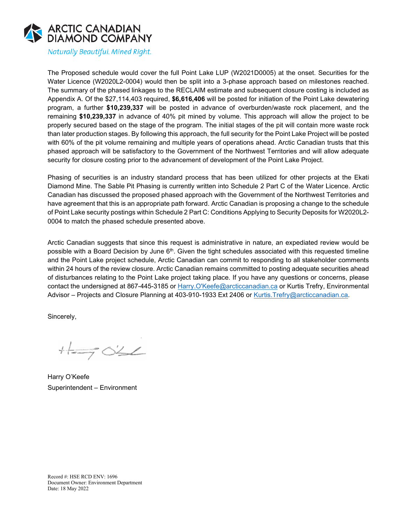

Naturally Beautiful. Mined Right.

The Proposed schedule would cover the full Point Lake LUP (W2021D0005) at the onset. Securities for the Water Licence (W2020L2-0004) would then be split into a 3-phase approach based on milestones reached. The summary of the phased linkages to the RECLAIM estimate and subsequent closure costing is included as Appendix A. Of the \$27,114,403 required, **\$6,616,406** will be posted for initiation of the Point Lake dewatering program, a further **\$10,239,337** will be posted in advance of overburden/waste rock placement, and the remaining **\$10,239,337** in advance of 40% pit mined by volume. This approach will allow the project to be properly secured based on the stage of the program. The initial stages of the pit will contain more waste rock than later production stages. By following this approach, the full security for the Point Lake Project will be posted with 60% of the pit volume remaining and multiple years of operations ahead. Arctic Canadian trusts that this phased approach will be satisfactory to the Government of the Northwest Territories and will allow adequate security for closure costing prior to the advancement of development of the Point Lake Project.

Phasing of securities is an industry standard process that has been utilized for other projects at the Ekati Diamond Mine. The Sable Pit Phasing is currently written into Schedule 2 Part C of the Water Licence. Arctic Canadian has discussed the proposed phased approach with the Government of the Northwest Territories and have agreement that this is an appropriate path forward. Arctic Canadian is proposing a change to the schedule of Point Lake security postings within Schedule 2 Part C: Conditions Applying to Security Deposits for W2020L2- 0004 to match the phased schedule presented above.

Arctic Canadian suggests that since this request is administrative in nature, an expediated review would be possible with a Board Decision by June  $6<sup>th</sup>$ . Given the tight schedules associated with this requested timeline and the Point Lake project schedule, Arctic Canadian can commit to responding to all stakeholder comments within 24 hours of the review closure. Arctic Canadian remains committed to posting adequate securities ahead of disturbances relating to the Point Lake project taking place. If you have any questions or concerns, please contact the undersigned at 867-445-3185 or [Harry.O'Keefe@arcticcanadian.ca](mailto:Harry.O) or Kurtis Trefry, Environmental Advisor – Projects and Closure Planning at 403-910-1933 Ext 2406 or Kurtis. Trefry@arcticcanadian.ca.

Sincerely,

 $+1 = 3042$ 

Harry O'Keefe Superintendent – Environment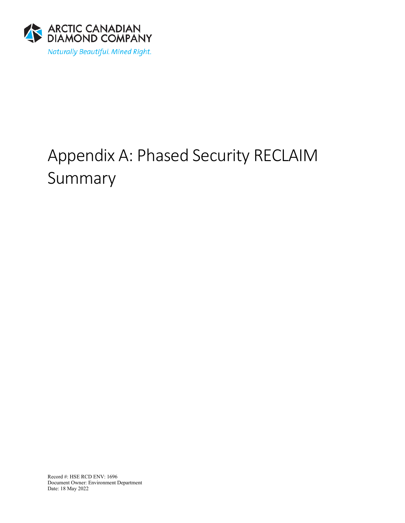

# Appendix A: Phased Security RECLAIM Summary

Record #: HSE RCD ENV: 1696 Document Owner: Environment Department Date: 18 May 2022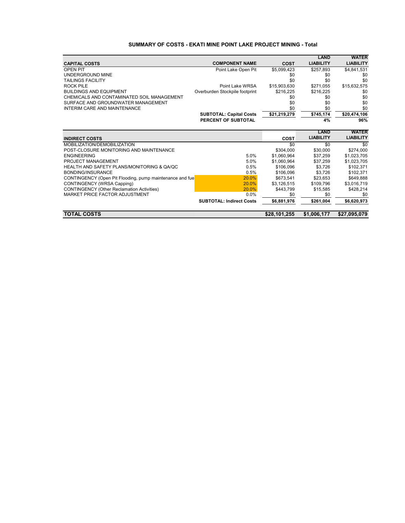# **SUMMARY OF COSTS - EKATI MINE POINT LAKE PROJECT MINING - Total**

|                                                          |                                 |              | <b>LAND</b>      | <b>WATER</b>     |
|----------------------------------------------------------|---------------------------------|--------------|------------------|------------------|
| <b>CAPITAL COSTS</b>                                     | <b>COMPONENT NAME</b>           | <b>COST</b>  | <b>LIABILITY</b> | <b>LIABILITY</b> |
| <b>OPEN PIT</b>                                          | Point Lake Open Pit             | \$5,099,423  | \$257,893        | \$4,841,531      |
| UNDERGROUND MINE                                         |                                 | \$0          | \$0              | \$0              |
| <b>TAILINGS FACILITY</b>                                 |                                 | \$0          | \$0              | \$0              |
| ROCK PILE                                                | Point Lake WRSA                 | \$15,903,630 | \$271,055        | \$15,632,575     |
| <b>BUILDINGS AND EQUIPMENT</b>                           | Overburden Stockpile footprint  | \$216,225    | \$216,225        | \$0              |
| CHEMICALS AND CONTAMINATED SOIL MANAGEMENT               |                                 | \$0          | \$0              | \$0              |
| SURFACE AND GROUNDWATER MANAGEMENT                       |                                 | \$0          | \$0              | \$0              |
| INTERIM CARE AND MAINTENANCE                             |                                 | \$0          | \$0              | \$0              |
|                                                          | <b>SUBTOTAL: Capital Costs</b>  | \$21,219,279 | \$745,174        | \$20,474,106     |
|                                                          | PERCENT OF SUBTOTAL             |              | 4%               | 96%              |
|                                                          |                                 |              |                  |                  |
|                                                          |                                 |              | LAND             | <b>WATER</b>     |
| <b>INDIRECT COSTS</b>                                    |                                 | COST         | <b>LIABILITY</b> | <b>LIABILITY</b> |
| MOBILIZATION/DEMOBILIZATION                              |                                 | \$0          | \$0              | \$0              |
| POST-CLOSURE MONITORING AND MAINTENANCE                  |                                 | \$304,000    | \$30,000         | \$274,000        |
| <b>ENGINEERING</b>                                       | 5.0%                            | \$1,060,964  | \$37,259         | \$1,023,705      |
| PROJECT MANAGEMENT                                       | 5.0%                            | \$1,060,964  | \$37,259         | \$1,023,705      |
| HEALTH AND SAFETY PLANS/MONITORING & QA/QC               | 0.5%                            | \$106.096    | \$3.726          | \$102.371        |
| BONDING/INSURANCE                                        | 0.5%                            | \$106.096    | \$3.726          | \$102,371        |
| CONTINGENCY (Open Pit Flooding, pump maintenance and fue | 20.0%                           | \$673,541    | \$23,653         | \$649,888        |
| CONTINGENCY (WRSA Capping)                               | 20.0%                           | \$3,126,515  | \$109,796        | \$3,016,719      |
| <b>CONTINGENCY (Other Reclamation Activities)</b>        | 20.0%                           | \$443,799    | \$15,585         | \$428,214        |
| MARKET PRICE FACTOR ADJUSTMENT                           | 0.0%                            | \$0          | \$0              | \$0              |
|                                                          | <b>SUBTOTAL: Indirect Costs</b> | \$6,881,976  | \$261,004        | \$6,620,973      |
|                                                          |                                 |              |                  |                  |
| <b>TOTAL COSTS</b>                                       |                                 | \$28,101,255 | \$1,006,177      | \$27,095,079     |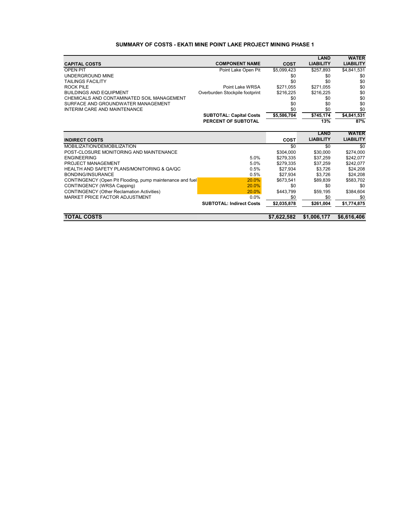## **SUMMARY OF COSTS - EKATI MINE POINT LAKE PROJECT MINING PHASE 1**

|                                                           |                                 |             | LAND             | <b>WATER</b>     |
|-----------------------------------------------------------|---------------------------------|-------------|------------------|------------------|
| <b>CAPITAL COSTS</b>                                      | <b>COMPONENT NAME</b>           | <b>COST</b> | <b>LIABILITY</b> | <b>LIABILITY</b> |
| <b>OPEN PIT</b>                                           | Point Lake Open Pit             | \$5,099,423 | \$257,893        | \$4,841,531      |
| UNDERGROUND MINE                                          |                                 | \$0         | \$0              | \$0              |
| TAILINGS FACILITY                                         |                                 | \$0         | \$0              | \$0              |
| <b>ROCK PILE</b>                                          | Point Lake WRSA                 | \$271.055   | \$271.055        | \$0              |
| <b>BUILDINGS AND EQUIPMENT</b>                            | Overburden Stockpile footprint  | \$216,225   | \$216,225        | \$0              |
| CHEMICALS AND CONTAMINATED SOIL MANAGEMENT                |                                 | \$0         | \$0              | \$0              |
| SURFACE AND GROUNDWATER MANAGEMENT                        |                                 | \$0         | \$0              | \$0              |
| <b>INTERIM CARE AND MAINTENANCE</b>                       |                                 | \$0         | \$0              | \$0              |
|                                                           | <b>SUBTOTAL: Capital Costs</b>  | \$5,586,704 | \$745,174        | \$4,841,531      |
|                                                           | PERCENT OF SUBTOTAL             |             | 13%              | 87%              |
|                                                           |                                 |             |                  |                  |
|                                                           |                                 |             | <b>LAND</b>      | <b>WATER</b>     |
| <b>INDIRECT COSTS</b>                                     |                                 | <b>COST</b> | <b>LIABILITY</b> | <b>LIABILITY</b> |
| MOBILIZATION/DEMOBILIZATION                               |                                 | \$0         | \$0              | \$0              |
| POST-CLOSURE MONITORING AND MAINTENANCE                   |                                 | \$304.000   | \$30,000         | \$274,000        |
| <b>ENGINEERING</b>                                        | 5.0%                            | \$279,335   | \$37,259         | \$242,077        |
| PROJECT MANAGEMENT                                        | 5.0%                            | \$279.335   | \$37.259         | \$242,077        |
| HEALTH AND SAFETY PLANS/MONITORING & QA/QC                | 0.5%                            | \$27,934    | \$3,726          | \$24,208         |
| <b>BONDING/INSURANCE</b>                                  | 0.5%                            | \$27.934    | \$3.726          | \$24,208         |
| CONTINGENCY (Open Pit Flooding, pump maintenance and fuel | 20.0%                           | \$673,541   | \$89.839         | \$583,702        |
| CONTINGENCY (WRSA Capping)                                | 20.0%                           | \$0         | \$0              | \$0              |
| <b>CONTINGENCY (Other Reclamation Activities)</b>         | 20.0%                           | \$443,799   | \$59,195         | \$384,604        |
| MARKET PRICE FACTOR ADJUSTMENT                            | 0.0%                            | \$0         | \$0              | \$0              |
|                                                           | <b>SUBTOTAL: Indirect Costs</b> | \$2,035,878 | \$261.004        | \$1,774,875      |
| <b>TOTAL COSTS</b>                                        |                                 | \$7,622,582 | \$1,006,177      | \$6,616,406      |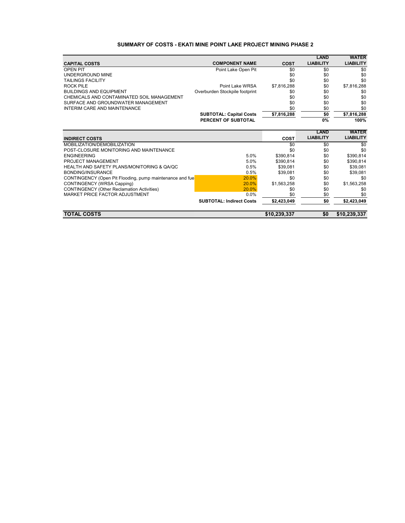# **SUMMARY OF COSTS - EKATI MINE POINT LAKE PROJECT MINING PHASE 2**

|                                                          |                                 |              | <b>LAND</b>      | <b>WATER</b>     |
|----------------------------------------------------------|---------------------------------|--------------|------------------|------------------|
| <b>CAPITAL COSTS</b>                                     | <b>COMPONENT NAME</b>           | <b>COST</b>  | <b>LIABILITY</b> | <b>LIABILITY</b> |
| <b>OPEN PIT</b>                                          | Point Lake Open Pit             | \$0          | \$0              | \$0              |
| UNDERGROUND MINE                                         |                                 | \$0          | \$0              | \$0              |
| <b>TAILINGS FACILITY</b>                                 |                                 | \$0          | \$0              | \$0              |
| <b>ROCK PILE</b>                                         | Point Lake WRSA                 | \$7,816,288  | \$0              | \$7,816,288      |
| <b>BUILDINGS AND EQUIPMENT</b>                           | Overburden Stockpile footprint  | \$0          | \$0              | \$0              |
| CHEMICALS AND CONTAMINATED SOIL MANAGEMENT               |                                 | \$0          | \$0              | \$0              |
| SURFACE AND GROUNDWATER MANAGEMENT                       |                                 | \$0          | \$0              | \$0              |
| <b>INTERIM CARE AND MAINTENANCE</b>                      |                                 | \$0          | \$0              | \$0              |
|                                                          | <b>SUBTOTAL: Capital Costs</b>  | \$7,816,288  | \$0              | \$7,816,288      |
|                                                          | PERCENT OF SUBTOTAL             |              | 0%               | 100%             |
|                                                          |                                 |              |                  |                  |
|                                                          |                                 |              | <b>LAND</b>      | <b>WATER</b>     |
| <b>INDIRECT COSTS</b>                                    |                                 | <b>COST</b>  | <b>LIABILITY</b> | <b>LIABILITY</b> |
| MOBILIZATION/DEMOBILIZATION                              |                                 | \$0          | \$0              | \$0              |
| POST-CLOSURE MONITORING AND MAINTENANCE                  |                                 | \$0          | \$0              | \$0              |
| <b>ENGINEERING</b>                                       | 5.0%                            | \$390,814    | \$0              | \$390,814        |
| PROJECT MANAGEMENT                                       | 5.0%                            | \$390,814    | \$0              | \$390,814        |
| HEALTH AND SAFETY PLANS/MONITORING & QA/QC               | 0.5%                            | \$39.081     | \$0              | \$39,081         |
| <b>BONDING/INSURANCE</b>                                 | 0.5%                            | \$39,081     | \$0              | \$39,081         |
| CONTINGENCY (Open Pit Flooding, pump maintenance and fue | 20.0%                           | \$0          | \$0              | \$0              |
| CONTINGENCY (WRSA Capping)                               | 20.0%                           | \$1,563,258  | \$0              | \$1,563,258      |
| <b>CONTINGENCY (Other Reclamation Activities)</b>        | 20.0%                           | \$0          | \$0              | \$0              |
| MARKET PRICE FACTOR ADJUSTMENT                           | 0.0%                            | \$0          | \$0              | \$0              |
|                                                          | <b>SUBTOTAL: Indirect Costs</b> | \$2,423,049  | \$0              | \$2,423,049      |
| <b>TOTAL COSTS</b>                                       |                                 | \$10,239,337 | \$0              | \$10,239,337     |